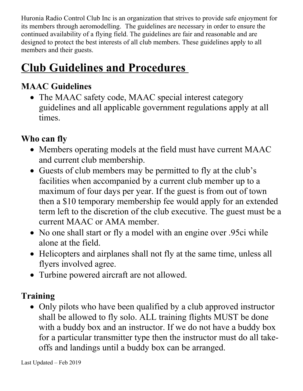Huronia Radio Control Club Inc is an organization that strives to provide safe enjoyment for its members through aeromodelling. The guidelines are necessary in order to ensure the continued availability of a flying field. The guidelines are fair and reasonable and are designed to protect the best interests of all club members. These guidelines apply to all members and their guests.

# **Club Guidelines and Procedures**

# **MAAC Guidelines**

• The MAAC safety code, MAAC special interest category guidelines and all applicable government regulations apply at all times.

## **Who can fly**

- Members operating models at the field must have current MAAC and current club membership.
- Guests of club members may be permitted to fly at the club's facilities when accompanied by a current club member up to a maximum of four days per year. If the guest is from out of town then a \$10 temporary membership fee would apply for an extended term left to the discretion of the club executive. The guest must be a current MAAC or AMA member.
- No one shall start or fly a model with an engine over .95ci while alone at the field.
- Helicopters and airplanes shall not fly at the same time, unless all flyers involved agree.
- Turbine powered aircraft are not allowed.

## **Training**

• Only pilots who have been qualified by a club approved instructor shall be allowed to fly solo. ALL training flights MUST be done with a buddy box and an instructor. If we do not have a buddy box for a particular transmitter type then the instructor must do all takeoffs and landings until a buddy box can be arranged.

Last Updated – Feb 2019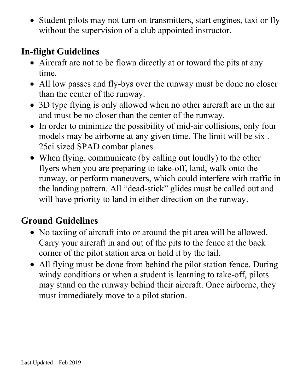• Student pilots may not turn on transmitters, start engines, taxi or fly without the supervision of a club appointed instructor.

# **In-flight Guidelines**

- Aircraft are not to be flown directly at or toward the pits at any time.
- All low passes and fly-bys over the runway must be done no closer than the center of the runway.
- 3D type flying is only allowed when no other aircraft are in the air and must be no closer than the center of the runway.
- In order to minimize the possibility of mid-air collisions, only four models may be airborne at any given time. The limit will be six . 25ci sized SPAD combat planes.
- When flying, communicate (by calling out loudly) to the other flyers when you are preparing to take-off, land, walk onto the runway, or perform maneuvers, which could interfere with traffic in the landing pattern. All "dead-stick" glides must be called out and will have priority to land in either direction on the runway.

# **Ground Guidelines**

- No taxiing of aircraft into or around the pit area will be allowed. Carry your aircraft in and out of the pits to the fence at the back corner of the pilot station area or hold it by the tail.
- All flying must be done from behind the pilot station fence. During windy conditions or when a student is learning to take-off, pilots may stand on the runway behind their aircraft. Once airborne, they must immediately move to a pilot station.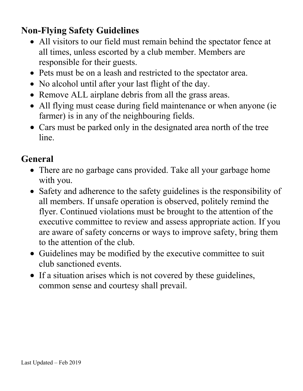# **Non-Flying Safety Guidelines**

- All visitors to our field must remain behind the spectator fence at all times, unless escorted by a club member. Members are responsible for their guests.
- Pets must be on a leash and restricted to the spectator area.
- No alcohol until after your last flight of the day.
- Remove ALL airplane debris from all the grass areas.
- All flying must cease during field maintenance or when anyone (ie farmer) is in any of the neighbouring fields.
- Cars must be parked only in the designated area north of the tree line.

## **General**

- There are no garbage cans provided. Take all your garbage home with you.
- Safety and adherence to the safety guidelines is the responsibility of all members. If unsafe operation is observed, politely remind the flyer. Continued violations must be brought to the attention of the executive committee to review and assess appropriate action. If you are aware of safety concerns or ways to improve safety, bring them to the attention of the club.
- Guidelines may be modified by the executive committee to suit club sanctioned events.
- If a situation arises which is not covered by these guidelines, common sense and courtesy shall prevail.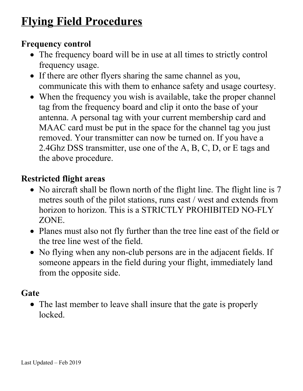# **Flying Field Procedures**

#### **Frequency control**

- The frequency board will be in use at all times to strictly control frequency usage.
- If there are other flyers sharing the same channel as you, communicate this with them to enhance safety and usage courtesy.
- When the frequency you wish is available, take the proper channel tag from the frequency board and clip it onto the base of your antenna. A personal tag with your current membership card and MAAC card must be put in the space for the channel tag you just removed. Your transmitter can now be turned on. If you have a 2.4Ghz DSS transmitter, use one of the A, B, C, D, or E tags and the above procedure.

### **Restricted flight areas**

- No aircraft shall be flown north of the flight line. The flight line is 7 metres south of the pilot stations, runs east / west and extends from horizon to horizon. This is a STRICTLY PROHIBITED NO-FLY ZONE.
- Planes must also not fly further than the tree line east of the field or the tree line west of the field.
- No flying when any non-club persons are in the adjacent fields. If someone appears in the field during your flight, immediately land from the opposite side.

#### **Gate**

• The last member to leave shall insure that the gate is properly locked.